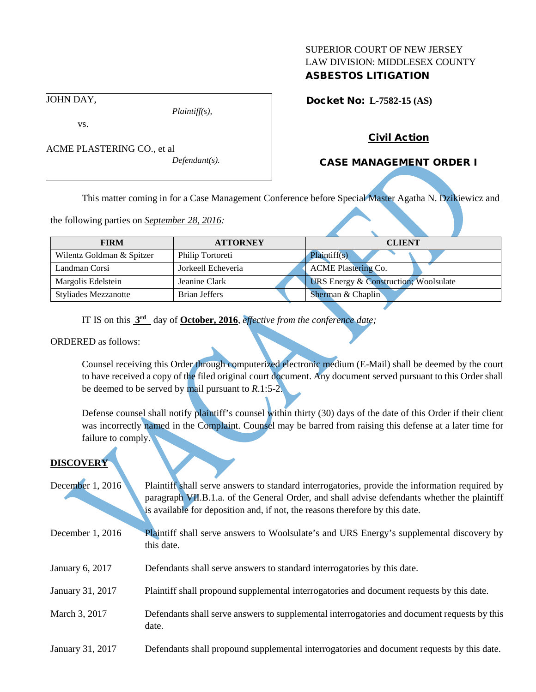### SUPERIOR COURT OF NEW JERSEY LAW DIVISION: MIDDLESEX COUNTY ASBESTOS LITIGATION

Docket No: **L-7582-15 (AS)** 

JOHN DAY,

vs.

ACME PLASTERING CO., et al

*Defendant(s).*

*Plaintiff(s),*

# Civil Action

# CASE MANAGEMENT ORDER I

This matter coming in for a Case Management Conference before Special Master Agatha N. Dzikiewicz and

the following parties on *September 28, 2016:*

| <b>FIRM</b>                 | <b>ATTORNEY</b>      | <b>CLIENT</b>                                    |
|-----------------------------|----------------------|--------------------------------------------------|
| Wilentz Goldman & Spitzer   | Philip Tortoreti     | Plaintiff(s)                                     |
| Landman Corsi               | Jorkeell Echeveria   | <b>ACME Plastering Co.</b>                       |
| Margolis Edelstein          | Jeanine Clark        | <b>URS Energy &amp; Construction; Woolsulate</b> |
| <b>Styliades Mezzanotte</b> | <b>Brian Jeffers</b> | Sherman & Chaplin                                |

IT IS on this **3rd** day of **October, 2016**, *effective from the conference date;*

#### ORDERED as follows:

Counsel receiving this Order through computerized electronic medium (E-Mail) shall be deemed by the court to have received a copy of the filed original court document. Any document served pursuant to this Order shall be deemed to be served by mail pursuant to *R*.1:5-2.

Defense counsel shall notify plaintiff's counsel within thirty (30) days of the date of this Order if their client was incorrectly named in the Complaint. Counsel may be barred from raising this defense at a later time for failure to comply.

# **DISCOVERY**

| December 1, 2016 | Plaintiff shall serve answers to standard interrogatories, provide the information required by |
|------------------|------------------------------------------------------------------------------------------------|
|                  | paragraph VII.B.1.a. of the General Order, and shall advise defendants whether the plaintiff   |
|                  | is available for deposition and, if not, the reasons therefore by this date.                   |

- December 1, 2016 Plaintiff shall serve answers to Woolsulate's and URS Energy's supplemental discovery by this date.
- January 6, 2017 Defendants shall serve answers to standard interrogatories by this date.
- January 31, 2017 Plaintiff shall propound supplemental interrogatories and document requests by this date.
- March 3, 2017 Defendants shall serve answers to supplemental interrogatories and document requests by this date.
- January 31, 2017 Defendants shall propound supplemental interrogatories and document requests by this date.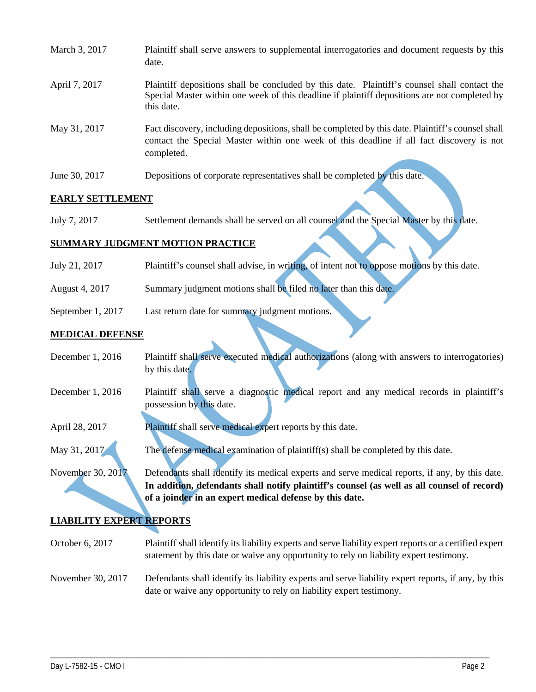| March 3, 2017 | Plaintiff shall serve answers to supplemental interrogatories and document requests by this<br>date.                                                                                                        |  |
|---------------|-------------------------------------------------------------------------------------------------------------------------------------------------------------------------------------------------------------|--|
| April 7, 2017 | Plaintiff depositions shall be concluded by this date. Plaintiff's counsel shall contact the<br>Special Master within one week of this deadline if plaintiff depositions are not completed by<br>this date. |  |
| May 31, 2017  | Fact discovery, including depositions, shall be completed by this date. Plaintiff's counsel shall<br>contact the Special Master within one week of this deadline if all fact discovery is not<br>completed. |  |
| June 30, 2017 | Depositions of corporate representatives shall be completed by this date.                                                                                                                                   |  |

### **EARLY SETTLEMENT**

July 7, 2017 Settlement demands shall be served on all counsel and the Special Master by this date.

### **SUMMARY JUDGMENT MOTION PRACTICE**

| July 21, 2017     | Plaintiff's counsel shall advise, in writing, of intent not to oppose motions by this date. |
|-------------------|---------------------------------------------------------------------------------------------|
| August 4, 2017    | Summary judgment motions shall be filed no later than this date.                            |
| September 1, 2017 | Last return date for summary judgment motions.                                              |

### **MEDICAL DEFENSE**

| December $1,2016$ |               | Plaintiff shall serve executed medical authorizations (along with answers to interrogatories) |
|-------------------|---------------|-----------------------------------------------------------------------------------------------|
|                   | by this date. |                                                                                               |
|                   |               |                                                                                               |

- December 1, 2016 Plaintiff shall serve a diagnostic medical report and any medical records in plaintiff's possession by this date.
- April 28, 2017 Plaintiff shall serve medical expert reports by this date.
- May 31, 2017 The defense medical examination of plaintiff(s) shall be completed by this date.

November 30, 2017 Defendants shall identify its medical experts and serve medical reports, if any, by this date. **In addition, defendants shall notify plaintiff's counsel (as well as all counsel of record) of a joinder in an expert medical defense by this date.**

# **LIABILITY EXPERT REPORTS**

- October 6, 2017 Plaintiff shall identify its liability experts and serve liability expert reports or a certified expert statement by this date or waive any opportunity to rely on liability expert testimony.
- November 30, 2017 Defendants shall identify its liability experts and serve liability expert reports, if any, by this date or waive any opportunity to rely on liability expert testimony.

\_\_\_\_\_\_\_\_\_\_\_\_\_\_\_\_\_\_\_\_\_\_\_\_\_\_\_\_\_\_\_\_\_\_\_\_\_\_\_\_\_\_\_\_\_\_\_\_\_\_\_\_\_\_\_\_\_\_\_\_\_\_\_\_\_\_\_\_\_\_\_\_\_\_\_\_\_\_\_\_\_\_\_\_\_\_\_\_\_\_\_\_\_\_\_\_\_\_\_\_\_\_\_\_\_\_\_\_\_\_